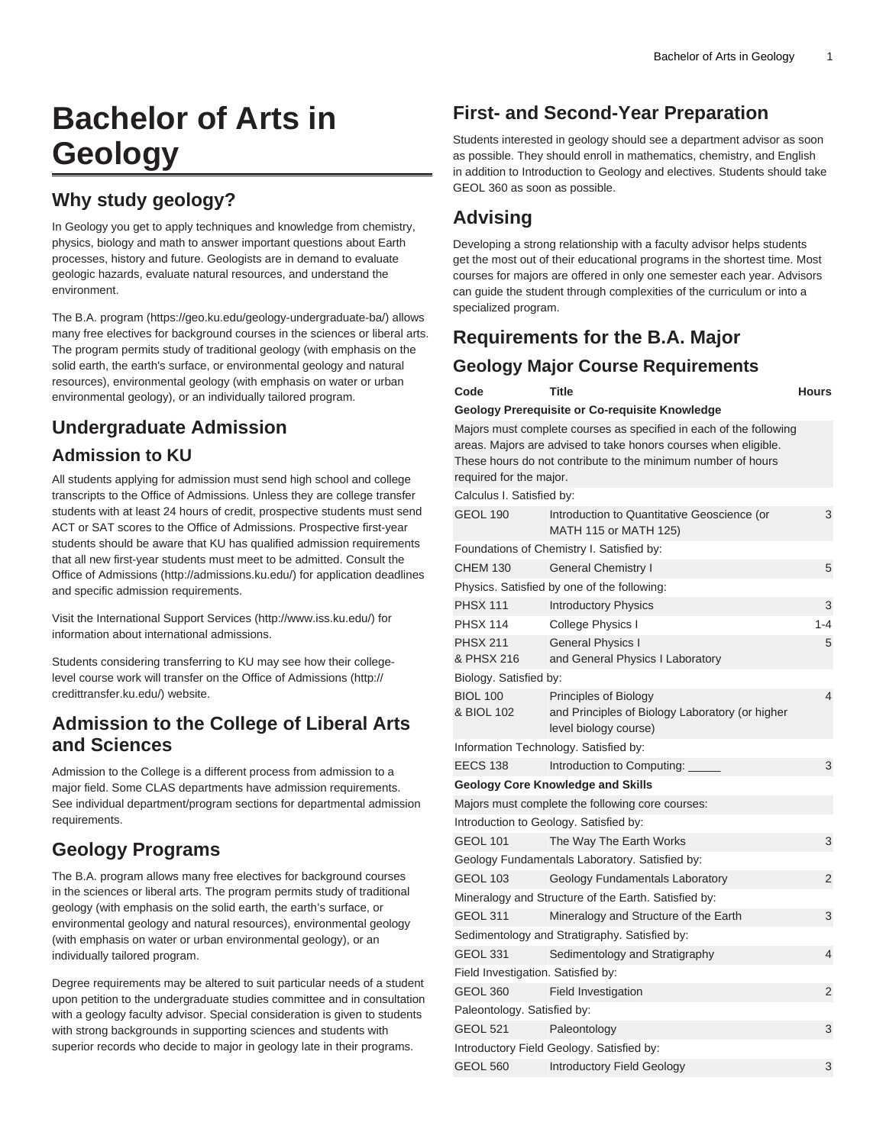# **Bachelor of Arts in Geology**

## **Why study geology?**

In Geology you get to apply techniques and knowledge from chemistry, physics, biology and math to answer important questions about Earth processes, history and future. Geologists are in demand to evaluate geologic hazards, evaluate natural resources, and understand the environment.

The [B.A. program](https://geo.ku.edu/geology-undergraduate-ba/) [\(https://geo.ku.edu/geology-undergraduate-ba/](https://geo.ku.edu/geology-undergraduate-ba/)) allows many free electives for background courses in the sciences or liberal arts. The program permits study of traditional geology (with emphasis on the solid earth, the earth's surface, or environmental geology and natural resources), environmental geology (with emphasis on water or urban environmental geology), or an individually tailored program.

# **Undergraduate Admission**

### **Admission to KU**

All students applying for admission must send high school and college transcripts to the Office of Admissions. Unless they are college transfer students with at least 24 hours of credit, prospective students must send ACT or SAT scores to the Office of Admissions. Prospective first-year students should be aware that KU has qualified admission requirements that all new first-year students must meet to be admitted. Consult the [Office of Admissions](http://admissions.ku.edu/) (<http://admissions.ku.edu/>) for application deadlines and specific admission requirements.

Visit the [International Support Services](http://www.iss.ku.edu/) ([http://www.iss.ku.edu/\)](http://www.iss.ku.edu/) for information about international admissions.

Students considering transferring to KU may see how their collegelevel course work will transfer on the [Office of Admissions](http://credittransfer.ku.edu/) ([http://](http://credittransfer.ku.edu/) [credittransfer.ku.edu/](http://credittransfer.ku.edu/)) website.

### **Admission to the College of Liberal Arts and Sciences**

Admission to the College is a different process from admission to a major field. Some CLAS departments have admission requirements. See individual department/program sections for departmental admission requirements.

# **Geology Programs**

The B.A. program allows many free electives for background courses in the sciences or liberal arts. The program permits study of traditional geology (with emphasis on the solid earth, the earth's surface, or environmental geology and natural resources), environmental geology (with emphasis on water or urban environmental geology), or an individually tailored program.

Degree requirements may be altered to suit particular needs of a student upon petition to the undergraduate studies committee and in consultation with a geology faculty advisor. Special consideration is given to students with strong backgrounds in supporting sciences and students with superior records who decide to major in geology late in their programs.

# **First- and Second-Year Preparation**

Students interested in geology should see a department advisor as soon as possible. They should enroll in mathematics, chemistry, and English in addition to Introduction to Geology and electives. Students should take GEOL 360 as soon as possible.

# **Advising**

Developing a strong relationship with a faculty advisor helps students get the most out of their educational programs in the shortest time. Most courses for majors are offered in only one semester each year. Advisors can guide the student through complexities of the curriculum or into a specialized program.

# **Requirements for the B.A. Major**

### **Geology Major Course Requirements**

| Code                                                                                                                                                                                                                             | Title                                                                                             | <b>Hours</b>   |  |
|----------------------------------------------------------------------------------------------------------------------------------------------------------------------------------------------------------------------------------|---------------------------------------------------------------------------------------------------|----------------|--|
|                                                                                                                                                                                                                                  | Geology Prerequisite or Co-requisite Knowledge                                                    |                |  |
| Majors must complete courses as specified in each of the following<br>areas. Majors are advised to take honors courses when eligible.<br>These hours do not contribute to the minimum number of hours<br>required for the major. |                                                                                                   |                |  |
| Calculus I. Satisfied by:                                                                                                                                                                                                        |                                                                                                   |                |  |
| <b>GEOL 190</b>                                                                                                                                                                                                                  | Introduction to Quantitative Geoscience (or<br>MATH 115 or MATH 125)                              | 3              |  |
|                                                                                                                                                                                                                                  | Foundations of Chemistry I. Satisfied by:                                                         |                |  |
| <b>CHEM 130</b>                                                                                                                                                                                                                  | <b>General Chemistry I</b>                                                                        | 5              |  |
|                                                                                                                                                                                                                                  | Physics. Satisfied by one of the following:                                                       |                |  |
| <b>PHSX 111</b>                                                                                                                                                                                                                  | <b>Introductory Physics</b>                                                                       | 3              |  |
| <b>PHSX 114</b>                                                                                                                                                                                                                  | College Physics I                                                                                 | $1 - 4$        |  |
| <b>PHSX 211</b><br>& PHSX 216                                                                                                                                                                                                    | <b>General Physics I</b><br>and General Physics I Laboratory                                      | 5              |  |
| Biology. Satisfied by:                                                                                                                                                                                                           |                                                                                                   |                |  |
| <b>BIOL 100</b><br>& BIOL 102                                                                                                                                                                                                    | Principles of Biology<br>and Principles of Biology Laboratory (or higher<br>level biology course) | 4              |  |
|                                                                                                                                                                                                                                  | Information Technology. Satisfied by:                                                             |                |  |
| <b>EECS 138</b>                                                                                                                                                                                                                  | Introduction to Computing:                                                                        | 3              |  |
|                                                                                                                                                                                                                                  | <b>Geology Core Knowledge and Skills</b>                                                          |                |  |
|                                                                                                                                                                                                                                  | Majors must complete the following core courses:                                                  |                |  |
|                                                                                                                                                                                                                                  | Introduction to Geology. Satisfied by:                                                            |                |  |
| <b>GEOL 101</b>                                                                                                                                                                                                                  | The Way The Earth Works                                                                           | 3              |  |
|                                                                                                                                                                                                                                  | Geology Fundamentals Laboratory. Satisfied by:                                                    |                |  |
| <b>GEOL 103</b>                                                                                                                                                                                                                  | Geology Fundamentals Laboratory                                                                   | 2              |  |
|                                                                                                                                                                                                                                  | Mineralogy and Structure of the Earth. Satisfied by:                                              |                |  |
| <b>GEOL 311</b>                                                                                                                                                                                                                  | Mineralogy and Structure of the Earth                                                             | 3              |  |
|                                                                                                                                                                                                                                  | Sedimentology and Stratigraphy. Satisfied by:                                                     |                |  |
| <b>GEOL 331</b>                                                                                                                                                                                                                  | Sedimentology and Stratigraphy                                                                    | $\overline{4}$ |  |
| Field Investigation. Satisfied by:                                                                                                                                                                                               |                                                                                                   |                |  |
| <b>GEOL 360</b>                                                                                                                                                                                                                  | Field Investigation                                                                               | $\overline{2}$ |  |
| Paleontology. Satisfied by:                                                                                                                                                                                                      |                                                                                                   |                |  |
| <b>GEOL 521</b>                                                                                                                                                                                                                  | Paleontology                                                                                      | 3              |  |
|                                                                                                                                                                                                                                  | Introductory Field Geology. Satisfied by:                                                         |                |  |
| <b>GEOL 560</b>                                                                                                                                                                                                                  | <b>Introductory Field Geology</b>                                                                 | 3              |  |